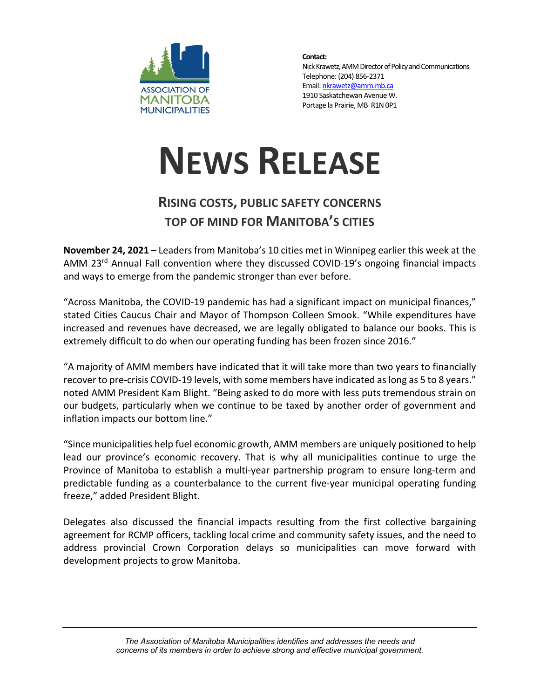

**Contact:** Nick Krawetz, AMM Director of Policy and Communications Telephone: (204) 856-2371 Email: nkrawetz@amm.mb.ca 1910 Saskatchewan Avenue W. Portage la Prairie, MB R1N 0P1

## **NEWS RELEASE**

## **RISING COSTS, PUBLIC SAFETY CONCERNS TOP OF MIND FOR MANITOBA'S CITIES**

**November 24, 2021 –** Leaders from Manitoba's 10 cities met in Winnipeg earlier this week at the AMM 23<sup>rd</sup> Annual Fall convention where they discussed COVID-19's ongoing financial impacts and ways to emerge from the pandemic stronger than ever before.

"Across Manitoba, the COVID-19 pandemic has had a significant impact on municipal finances," stated Cities Caucus Chair and Mayor of Thompson Colleen Smook. "While expenditures have increased and revenues have decreased, we are legally obligated to balance our books. This is extremely difficult to do when our operating funding has been frozen since 2016."

"A majority of AMM members have indicated that it will take more than two years to financially recover to pre-crisis COVID-19 levels, with some members have indicated as long as 5 to 8 years." noted AMM President Kam Blight. "Being asked to do more with less puts tremendous strain on our budgets, particularly when we continue to be taxed by another order of government and inflation impacts our bottom line."

"Since municipalities help fuel economic growth, AMM members are uniquely positioned to help lead our province's economic recovery. That is why all municipalities continue to urge the Province of Manitoba to establish a multi-year partnership program to ensure long-term and predictable funding as a counterbalance to the current five-year municipal operating funding freeze," added President Blight.

Delegates also discussed the financial impacts resulting from the first collective bargaining agreement for RCMP officers, tackling local crime and community safety issues, and the need to address provincial Crown Corporation delays so municipalities can move forward with development projects to grow Manitoba.